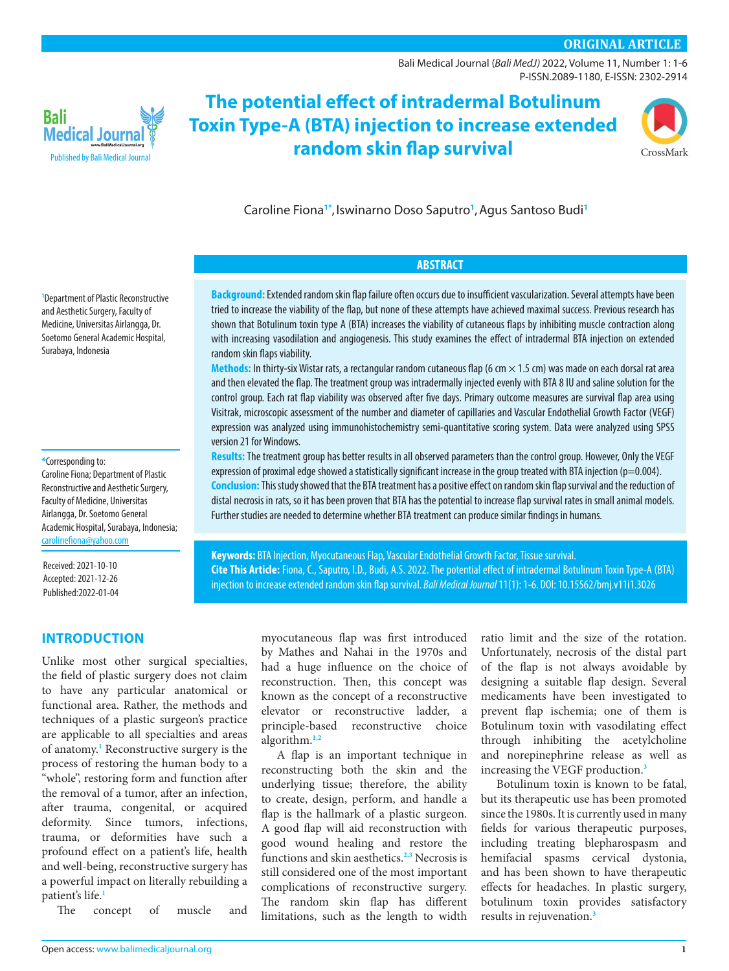# **ORIGINAL ARTICLE**

[Bali Medical Journal](http://www.balimedicaljournal.org/) (*Bali MedJ)* 2022, Volume 11, Number 1: [1-](http://dx.doi.org/10.15562/bmj.v111-4)6 P-ISSN.2089-1180, E-ISSN: 2302-2914



**The potential effect of intradermal Botulinum Toxin Type-A (BTA) injection to increase extended random skin flap survival**



Caroline Fiona**[1](#page-0-0)[\\*](#page-0-1)** , Iswinarno Doso Saputro**[1](#page-0-0)** ,Agus Santoso Budi**[1](#page-0-0)**

# **ABSTRACT**

**Background:**Extended random skin flap failure often occurs due to insufficient vascularization. Several attempts have been tried to increase the viability of the flap, but none of these attempts have achieved maximal success. Previous research has shown that Botulinum toxin type A (BTA) increases the viability of cutaneous flaps by inhibiting muscle contraction along with increasing vasodilation and angiogenesis. This study examines the effect of intradermal BTA injection on extended random skin flaps viability.

**Methods:** In thirty-six Wistar rats, a rectangular random cutaneous flap (6 cm × 1.5 cm) was made on each dorsal rat area and then elevated the flap. The treatment group was intradermally injected evenly with BTA 8 IU and saline solution for the control group. Each rat flap viability was observed after five days. Primary outcome measures are survival flap area using Visitrak, microscopic assessment of the number and diameter of capillaries and Vascular Endothelial Growth Factor (VEGF) expression was analyzed using immunohistochemistry semi-quantitative scoring system. Data were analyzed using SPSS version 21 for Windows.

**Results:** The treatment group has better results in all observed parameters than the control group. However, Only the VEGF expression of proximal edge showed a statistically significant increase in the group treated with BTA injection (p=0.004). **Conclusion:**This study showed that the BTA treatment has a positive effect on random skin flap survival and the reduction of distal necrosis in rats, so it has been proven that BTA has the potential to increase flap survival rates in small animal models. Further studies are needed to determine whether BTA treatment can produce similar findings in humans.

**Keywords:** BTA Injection, Myocutaneous Flap, Vascular Endothelial Growth Factor, Tissue survival. **Cite This Article:** Fiona, C., Saputro, I.D., Budi, A.S. 2022. The potential effect of intradermal Botulinum Toxin Type-A (BTA) injection to increase extended random skin flap survival. *Bali Medical Journal* 11(1): 1-6. DOI: [10.15562/bmj.v11i1.3026](http://dx.doi.org/10.15562/bmj.v11i1.3026)

<span id="page-0-0"></span>

### <span id="page-0-1"></span>**\***Corresponding to:

Caroline Fiona; Department of Plastic Reconstructive and Aesthetic Surgery, Faculty of Medicine, Universitas Airlangga, Dr. Soetomo General Academic Hospital, Surabaya, Indonesia; [carolinefiona@yahoo.com](mailto:carolinefiona@yahoo.com)

Received: 2021-10-10 Accepted: 2021-12-26 Published:2022-01-04

### **INTRODUCTION**

Unlike most other surgical specialties, the field of plastic surgery does not claim to have any particular anatomical or functional area. Rather, the methods and techniques of a plastic surgeon's practice are applicable to all specialties and areas of anatomy.**1** Reconstructive surgery is the process of restoring the human body to a "whole", restoring form and function after the removal of a tumor, after an infection, after trauma, congenital, or acquired deformity. Since tumors, infections, trauma, or deformities have such a profound effect on a patient's life, health and well-being, reconstructive surgery has a powerful impact on literally rebuilding a patient's life.**1**

The concept of muscle and

myocutaneous flap was first introduced by Mathes and Nahai in the 1970s and had a huge influence on the choice of reconstruction. Then, this concept was known as the concept of a reconstructive elevator or reconstructive ladder, a principle-based reconstructive choice algorithm.**1,[2](#page-4-0)**

A flap is an important technique in reconstructing both the skin and the underlying tissue; therefore, the ability to create, design, perform, and handle a flap is the hallmark of a plastic surgeon. A good flap will aid reconstruction with good wound healing and restore the functions and skin aesthetics.**[2](#page-4-0)[,3](#page-4-1)** Necrosis is still considered one of the most important complications of reconstructive surgery. The random skin flap has different limitations, such as the length to width

ratio limit and the size of the rotation. Unfortunately, necrosis of the distal part of the flap is not always avoidable by designing a suitable flap design. Several medicaments have been investigated to prevent flap ischemia; one of them is Botulinum toxin with vasodilating effect through inhibiting the acetylcholine and norepinephrine release as well as increasing the VEGF production.**[3](#page-4-1)**

Botulinum toxin is known to be fatal, but its therapeutic use has been promoted since the 1980s. It is currently used in many fields for various therapeutic purposes, including treating blepharospasm and hemifacial spasms cervical dystonia, and has been shown to have therapeutic effects for headaches. In plastic surgery, botulinum toxin provides satisfactory results in rejuvenation.**[3](#page-4-1)**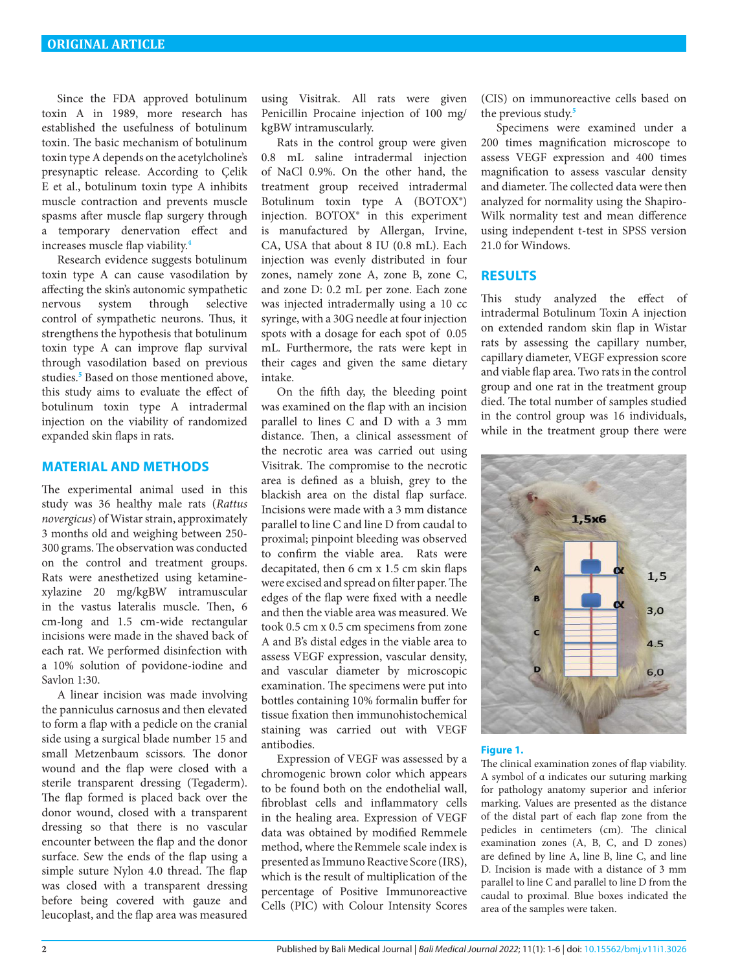Since the FDA approved botulinum toxin A in 1989, more research has established the usefulness of botulinum toxin. The basic mechanism of botulinum toxin type A depends on the acetylcholine's presynaptic release. According to Çelik E et al., botulinum toxin type A inhibits muscle contraction and prevents muscle spasms after muscle flap surgery through a temporary denervation effect and increases muscle flap viability.**4**

Research evidence suggests botulinum toxin type A can cause vasodilation by affecting the skin's autonomic sympathetic nervous system through selective control of sympathetic neurons. Thus, it strengthens the hypothesis that botulinum toxin type A can improve flap survival through vasodilation based on previous studies.**[5](#page-5-0)** Based on those mentioned above, this study aims to evaluate the effect of botulinum toxin type A intradermal injection on the viability of randomized expanded skin flaps in rats.

### **MATERIAL AND METHODS**

The experimental animal used in this study was 36 healthy male rats (*Rattus novergicus*) of Wistar strain, approximately 3 months old and weighing between 250- 300 grams. The observation was conducted on the control and treatment groups. Rats were anesthetized using ketaminexylazine 20 mg/kgBW intramuscular in the vastus lateralis muscle. Then, 6 cm-long and 1.5 cm-wide rectangular incisions were made in the shaved back of each rat. We performed disinfection with a 10% solution of povidone-iodine and Savlon 1:30.

A linear incision was made involving the panniculus carnosus and then elevated to form a flap with a pedicle on the cranial side using a surgical blade number 15 and small Metzenbaum scissors. The donor wound and the flap were closed with a sterile transparent dressing (Tegaderm). The flap formed is placed back over the donor wound, closed with a transparent dressing so that there is no vascular encounter between the flap and the donor surface. Sew the ends of the flap using a simple suture Nylon 4.0 thread. The flap was closed with a transparent dressing before being covered with gauze and leucoplast, and the flap area was measured

using Visitrak. All rats were given Penicillin Procaine injection of 100 mg/ kgBW intramuscularly.

Rats in the control group were given 0.8 mL saline intradermal injection of NaCl 0.9%. On the other hand, the treatment group received intradermal Botulinum toxin type A (BOTOX®) injection. BOTOX® in this experiment is manufactured by Allergan, Irvine, CA, USA that about 8 IU (0.8 mL). Each injection was evenly distributed in four zones, namely zone A, zone B, zone C, and zone D: 0.2 mL per zone. Each zone was injected intradermally using a 10 cc syringe, with a 30G needle at four injection spots with a dosage for each spot of 0.05 mL. Furthermore, the rats were kept in their cages and given the same dietary intake.

On the fifth day, the bleeding point was examined on the flap with an incision parallel to lines C and D with a 3 mm distance. Then, a clinical assessment of the necrotic area was carried out using Visitrak. The compromise to the necrotic area is defined as a bluish, grey to the blackish area on the distal flap surface. Incisions were made with a 3 mm distance parallel to line C and line D from caudal to proximal; pinpoint bleeding was observed to confirm the viable area. Rats were decapitated, then 6 cm x 1.5 cm skin flaps were excised and spread on filter paper. The edges of the flap were fixed with a needle and then the viable area was measured. We took 0.5 cm x 0.5 cm specimens from zone A and B's distal edges in the viable area to assess VEGF expression, vascular density, and vascular diameter by microscopic examination. The specimens were put into bottles containing 10% formalin buffer for tissue fixation then immunohistochemical staining was carried out with VEGF antibodies.

Expression of VEGF was assessed by a chromogenic brown color which appears to be found both on the endothelial wall, fibroblast cells and inflammatory cells in the healing area. Expression of VEGF data was obtained by modified Remmele method, where the Remmele scale index is presented as Immuno Reactive Score (IRS), which is the result of multiplication of the percentage of Positive Immunoreactive Cells (PIC) with Colour Intensity Scores

(CIS) on immunoreactive cells based on the previous study.**[5](#page-5-0)**

Specimens were examined under a 200 times magnification microscope to assess VEGF expression and 400 times magnification to assess vascular density and diameter. The collected data were then analyzed for normality using the Shapiro-Wilk normality test and mean difference using independent t-test in SPSS version 21.0 for Windows.

# **RESULTS**

This study analyzed the effect of intradermal Botulinum Toxin A injection on extended random skin flap in Wistar rats by assessing the capillary number, capillary diameter, VEGF expression score and viable flap area. Two rats in the control group and one rat in the treatment group died. The total number of samples studied in the control group was 16 individuals, while in the treatment group there were



#### **Figure 1.**

The clinical examination zones of flap viability. A symbol of α indicates our suturing marking for pathology anatomy superior and inferior marking. Values are presented as the distance of the distal part of each flap zone from the pedicles in centimeters (cm). The clinical examination zones (A, B, C, and D zones) are defined by line A, line B, line C, and line D. Incision is made with a distance of 3 mm parallel to line C and parallel to line D from the caudal to proximal. Blue boxes indicated the area of the samples were taken.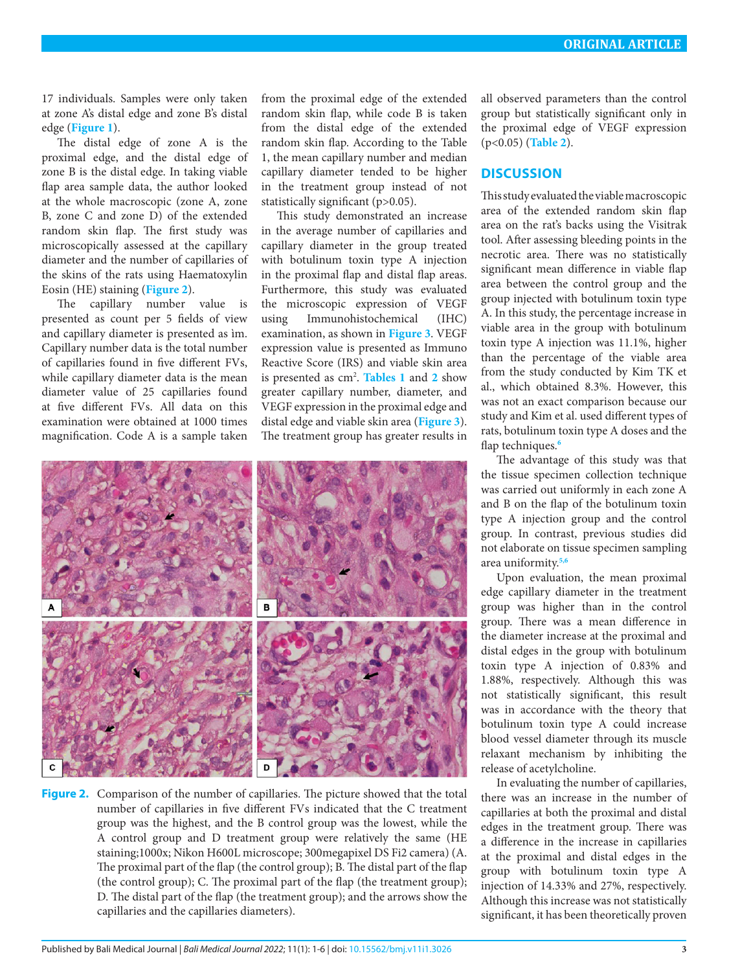17 individuals. Samples were only taken at zone A's distal edge and zone B's distal edge (**Figure 1**).

The distal edge of zone A is the proximal edge, and the distal edge of zone B is the distal edge. In taking viable flap area sample data, the author looked at the whole macroscopic (zone A, zone B, zone C and zone D) of the extended random skin flap. The first study was microscopically assessed at the capillary diameter and the number of capillaries of the skins of the rats using Haematoxylin Eosin (HE) staining (**[Figure 2](#page-2-0)**).

The capillary number value is presented as count per 5 fields of view and capillary diameter is presented as ìm. Capillary number data is the total number of capillaries found in five different FVs, while capillary diameter data is the mean diameter value of 25 capillaries found at five different FVs. All data on this examination were obtained at 1000 times magnification. Code A is a sample taken

from the proximal edge of the extended random skin flap, while code B is taken from the distal edge of the extended random skin flap. According to the Table 1, the mean capillary number and median capillary diameter tended to be higher in the treatment group instead of not statistically significant (p>0.05).

This study demonstrated an increase in the average number of capillaries and capillary diameter in the group treated with botulinum toxin type A injection in the proximal flap and distal flap areas. Furthermore, this study was evaluated the microscopic expression of VEGF using Immunohistochemical (IHC) examination, as shown in **[Figure 3](#page-3-0)**. VEGF expression value is presented as Immuno Reactive Score (IRS) and viable skin area is presented as cm2 . **[Tables 1](#page-3-1)** and **[2](#page-3-2)** show greater capillary number, diameter, and VEGF expression in the proximal edge and distal edge and viable skin area (**[Figure 3](#page-3-0)**). The treatment group has greater results in



<span id="page-2-0"></span>**Figure 2.** Comparison of the number of capillaries. The picture showed that the total number of capillaries in five different FVs indicated that the C treatment group was the highest, and the B control group was the lowest, while the A control group and D treatment group were relatively the same (HE staining;1000x; Nikon H600L microscope; 300megapixel DS Fi2 camera) (A. The proximal part of the flap (the control group); B. The distal part of the flap (the control group); C. The proximal part of the flap (the treatment group); D. The distal part of the flap (the treatment group); and the arrows show the capillaries and the capillaries diameters).

all observed parameters than the control group but statistically significant only in the proximal edge of VEGF expression (p<0.05) (**[Table 2](#page-3-2)**).

# **DISCUSSION**

This study evaluated the viable macroscopic area of the extended random skin flap area on the rat's backs using the Visitrak tool. After assessing bleeding points in the necrotic area. There was no statistically significant mean difference in viable flap area between the control group and the group injected with botulinum toxin type A. In this study, the percentage increase in viable area in the group with botulinum toxin type A injection was 11.1%, higher than the percentage of the viable area from the study conducted by Kim TK et al., which obtained 8.3%. However, this was not an exact comparison because our study and Kim et al. used different types of rats, botulinum toxin type A doses and the flap techniques.**[6](#page-5-1)**

The advantage of this study was that the tissue specimen collection technique was carried out uniformly in each zone A and B on the flap of the botulinum toxin type A injection group and the control group. In contrast, previous studies did not elaborate on tissue specimen sampling area uniformity.**[5](#page-5-0)[,6](#page-5-1)**

Upon evaluation, the mean proximal edge capillary diameter in the treatment group was higher than in the control group. There was a mean difference in the diameter increase at the proximal and distal edges in the group with botulinum toxin type A injection of 0.83% and 1.88%, respectively. Although this was not statistically significant, this result was in accordance with the theory that botulinum toxin type A could increase blood vessel diameter through its muscle relaxant mechanism by inhibiting the release of acetylcholine.

In evaluating the number of capillaries, there was an increase in the number of capillaries at both the proximal and distal edges in the treatment group. There was a difference in the increase in capillaries at the proximal and distal edges in the group with botulinum toxin type A injection of 14.33% and 27%, respectively. Although this increase was not statistically significant, it has been theoretically proven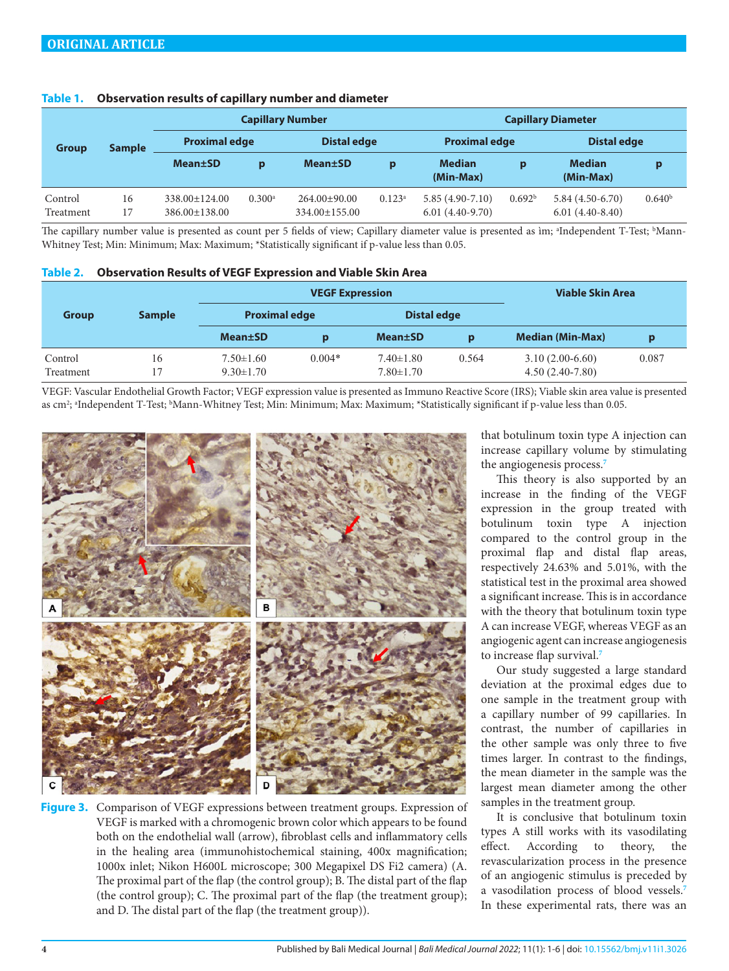| <b>Group</b>         | <b>Sample</b> | <b>Capillary Number</b>                    |                      |                                     |           | <b>Capillary Diameter</b>              |                    |                                        |                    |
|----------------------|---------------|--------------------------------------------|----------------------|-------------------------------------|-----------|----------------------------------------|--------------------|----------------------------------------|--------------------|
|                      |               | <b>Proximal edge</b>                       |                      | <b>Distal edge</b>                  |           | <b>Proximal edge</b>                   |                    | <b>Distal edge</b>                     |                    |
|                      |               | <b>Mean</b> ±SD                            | p                    | <b>Mean</b> ±SD                     | p         | <b>Median</b><br>(Min-Max)             | p                  | <b>Median</b><br>(Min-Max)             | p                  |
| Control<br>Treatment | 16<br>17      | $338.00 \pm 124.00$<br>$386.00 \pm 138.00$ | $0.300$ <sup>a</sup> | $264.00 \pm 90.00$<br>334.00±155.00 | $0.123^a$ | $5.85(4.90-7.10)$<br>$6.01(4.40-9.70)$ | 0.692 <sup>b</sup> | $5.84(4.50-6.70)$<br>$6.01(4.40-8.40)$ | 0.640 <sup>b</sup> |

### <span id="page-3-1"></span>**Table 1. Observation results of capillary number and diameter**

The capillary number value is presented as count per 5 fields of view; Capillary diameter value is presented as ìm; ªIndependent T-Test; ʰMann-Whitney Test; Min: Minimum; Max: Maximum; \*Statistically significant if p-value less than 0.05.

<span id="page-3-2"></span>

|  | Table 2. Observation Results of VEGF Expression and Viable Skin Area |
|--|----------------------------------------------------------------------|
|--|----------------------------------------------------------------------|

|                      |               |                                    | <b>VEGF Expression</b> | Viable Skin Area                   |       |                                        |       |  |
|----------------------|---------------|------------------------------------|------------------------|------------------------------------|-------|----------------------------------------|-------|--|
| <b>Group</b>         | <b>Sample</b> | <b>Proximal edge</b>               |                        | <b>Distal edge</b>                 |       |                                        |       |  |
|                      |               | <b>Mean±SD</b>                     |                        | <b>Mean</b> ±SD                    | p     | <b>Median (Min-Max)</b>                | p     |  |
| Control<br>Treatment | 16<br>17      | $7.50 \pm 1.60$<br>$9.30 \pm 1.70$ | $0.004*$               | $7.40 \pm 1.80$<br>$7.80 \pm 1.70$ | 0.564 | $3.10(2.00-6.60)$<br>$4.50(2.40-7.80)$ | 0.087 |  |

VEGF: Vascular Endothelial Growth Factor; VEGF expression value is presented as Immuno Reactive Score (IRS); Viable skin area value is presented as cm²; ªIndependent T-Test; ʰMann-Whitney Test; Min: Minimum; Max: Maximum; \*Statistically significant if p-value less than 0.05.



<span id="page-3-0"></span>**Figure 3.** Comparison of VEGF expressions between treatment groups. Expression of VEGF is marked with a chromogenic brown color which appears to be found both on the endothelial wall (arrow), fibroblast cells and inflammatory cells in the healing area (immunohistochemical staining, 400x magnification; 1000x inlet; Nikon H600L microscope; 300 Megapixel DS Fi2 camera) (A. The proximal part of the flap (the control group); B. The distal part of the flap (the control group); C. The proximal part of the flap (the treatment group); and D. The distal part of the flap (the treatment group)).

that botulinum toxin type A injection can increase capillary volume by stimulating the angiogenesis process.**[7](#page-5-2)**

This theory is also supported by an increase in the finding of the VEGF expression in the group treated with botulinum toxin type A injection compared to the control group in the proximal flap and distal flap areas, respectively 24.63% and 5.01%, with the statistical test in the proximal area showed a significant increase. This is in accordance with the theory that botulinum toxin type A can increase VEGF, whereas VEGF as an angiogenic agent can increase angiogenesis to increase flap survival.**[7](#page-5-2)**

Our study suggested a large standard deviation at the proximal edges due to one sample in the treatment group with a capillary number of 99 capillaries. In contrast, the number of capillaries in the other sample was only three to five times larger. In contrast to the findings, the mean diameter in the sample was the largest mean diameter among the other samples in the treatment group.

It is conclusive that botulinum toxin types A still works with its vasodilating effect. According to theory, the revascularization process in the presence of an angiogenic stimulus is preceded by a vasodilation process of blood vessels.**[7](#page-5-2)** In these experimental rats, there was an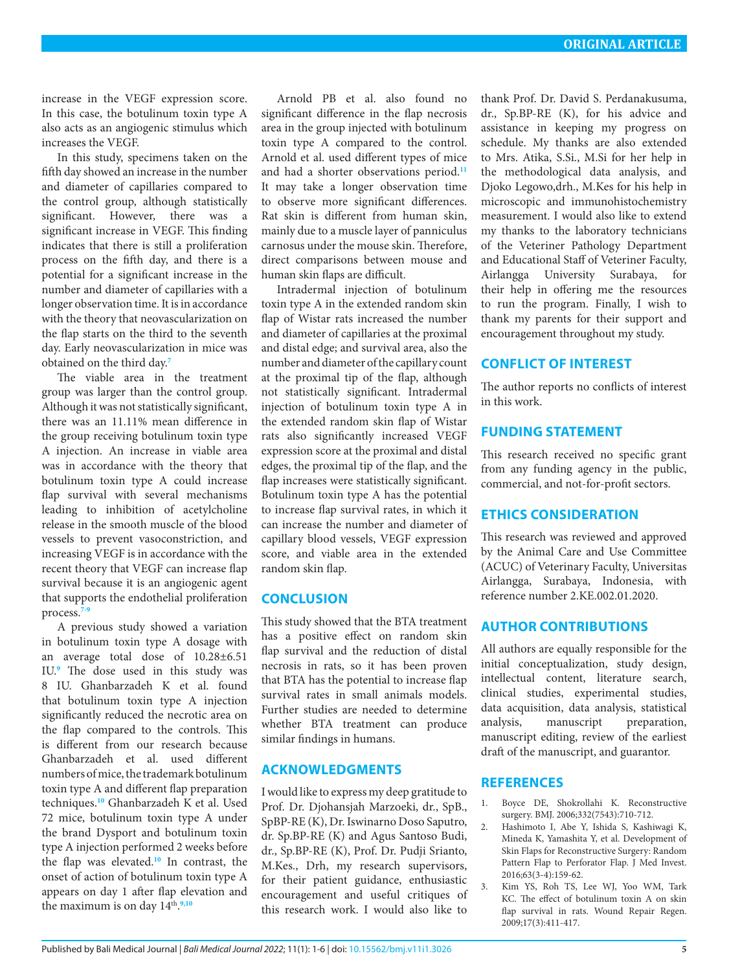increase in the VEGF expression score. In this case, the botulinum toxin type A also acts as an angiogenic stimulus which increases the VEGF.

In this study, specimens taken on the fifth day showed an increase in the number and diameter of capillaries compared to the control group, although statistically significant. However, there was a significant increase in VEGF. This finding indicates that there is still a proliferation process on the fifth day, and there is a potential for a significant increase in the number and diameter of capillaries with a longer observation time. It is in accordance with the theory that neovascularization on the flap starts on the third to the seventh day. Early neovascularization in mice was obtained on the third day.**[7](#page-5-2)**

The viable area in the treatment group was larger than the control group. Although it was not statistically significant, there was an 11.11% mean difference in the group receiving botulinum toxin type A injection. An increase in viable area was in accordance with the theory that botulinum toxin type A could increase flap survival with several mechanisms leading to inhibition of acetylcholine release in the smooth muscle of the blood vessels to prevent vasoconstriction, and increasing VEGF is in accordance with the recent theory that VEGF can increase flap survival because it is an angiogenic agent that supports the endothelial proliferation process.**[7-](#page-5-2)[9](#page-5-3)**

A previous study showed a variation in botulinum toxin type A dosage with an average total dose of 10.28±6.51 IU.**[9](#page-5-3)** The dose used in this study was 8 IU. Ghanbarzadeh K et al. found that botulinum toxin type A injection significantly reduced the necrotic area on the flap compared to the controls. This is different from our research because Ghanbarzadeh et al. used different numbers of mice, the trademark botulinum toxin type A and different flap preparation techniques.**[10](#page-5-4)** Ghanbarzadeh K et al. Used 72 mice, botulinum toxin type A under the brand Dysport and botulinum toxin type A injection performed 2 weeks before the flap was elevated.**[10](#page-5-4)** In contrast, the onset of action of botulinum toxin type A appears on day 1 after flap elevation and the maximum is on day  $14^{\text{th}}$ .<sup>[9](#page-5-3),[10](#page-5-4)</sup>

Arnold PB et al. also found no significant difference in the flap necrosis area in the group injected with botulinum toxin type A compared to the control. Arnold et al. used different types of mice and had a shorter observations period.**[11](#page-5-5)** It may take a longer observation time to observe more significant differences. Rat skin is different from human skin, mainly due to a muscle layer of panniculus carnosus under the mouse skin. Therefore, direct comparisons between mouse and human skin flaps are difficult.

Intradermal injection of botulinum toxin type A in the extended random skin flap of Wistar rats increased the number and diameter of capillaries at the proximal and distal edge; and survival area, also the number and diameter of the capillary count at the proximal tip of the flap, although not statistically significant. Intradermal injection of botulinum toxin type A in the extended random skin flap of Wistar rats also significantly increased VEGF expression score at the proximal and distal edges, the proximal tip of the flap, and the flap increases were statistically significant. Botulinum toxin type A has the potential to increase flap survival rates, in which it can increase the number and diameter of capillary blood vessels, VEGF expression score, and viable area in the extended random skin flap.

# **CONCLUSION**

This study showed that the BTA treatment has a positive effect on random skin flap survival and the reduction of distal necrosis in rats, so it has been proven that BTA has the potential to increase flap survival rates in small animals models. Further studies are needed to determine whether BTA treatment can produce similar findings in humans.

# **ACKNOWLEDGMENTS**

I would like to express my deep gratitude to Prof. Dr. Djohansjah Marzoeki, dr., SpB., SpBP-RE (K), Dr. Iswinarno Doso Saputro, dr. Sp.BP-RE (K) and Agus Santoso Budi, dr., Sp.BP-RE (K), Prof. Dr. Pudji Srianto, M.Kes., Drh, my research supervisors, for their patient guidance, enthusiastic encouragement and useful critiques of this research work. I would also like to

thank Prof. Dr. David S. Perdanakusuma, dr., Sp.BP-RE (K), for his advice and assistance in keeping my progress on schedule. My thanks are also extended to Mrs. Atika, S.Si., M.Si for her help in the methodological data analysis, and Djoko Legowo,drh., M.Kes for his help in microscopic and immunohistochemistry measurement. I would also like to extend my thanks to the laboratory technicians of the Veteriner Pathology Department and Educational Staff of Veteriner Faculty, Airlangga University Surabaya, for their help in offering me the resources to run the program. Finally, I wish to thank my parents for their support and encouragement throughout my study.

## **CONFLICT OF INTEREST**

The author reports no conflicts of interest in this work.

### **FUNDING STATEMENT**

This research received no specific grant from any funding agency in the public, commercial, and not-for-profit sectors.

### **ETHICS CONSIDERATION**

This research was reviewed and approved by the Animal Care and Use Committee (ACUC) of Veterinary Faculty, Universitas Airlangga, Surabaya, Indonesia, with reference number 2.KE.002.01.2020.

# **AUTHOR CONTRIBUTIONS**

All authors are equally responsible for the initial conceptualization, study design, intellectual content, literature search, clinical studies, experimental studies, data acquisition, data analysis, statistical analysis, manuscript preparation, manuscript editing, review of the earliest draft of the manuscript, and guarantor.

### **REFERENCES**

- 1. Boyce DE, Shokrollahi K. Reconstructive surgery. BMJ. 2006;332(7543):710-712.
- <span id="page-4-0"></span>2. Hashimoto I, Abe Y, Ishida S, Kashiwagi K, Mineda K, Yamashita Y, et al. Development of Skin Flaps for Reconstructive Surgery: Random Pattern Flap to Perforator Flap. J Med Invest. 2016;63(3-4):159-62.
- <span id="page-4-1"></span>3. Kim YS, Roh TS, Lee WJ, Yoo WM, Tark KC. The effect of botulinum toxin A on skin flap survival in rats. Wound Repair Regen. 2009;17(3):411-417.